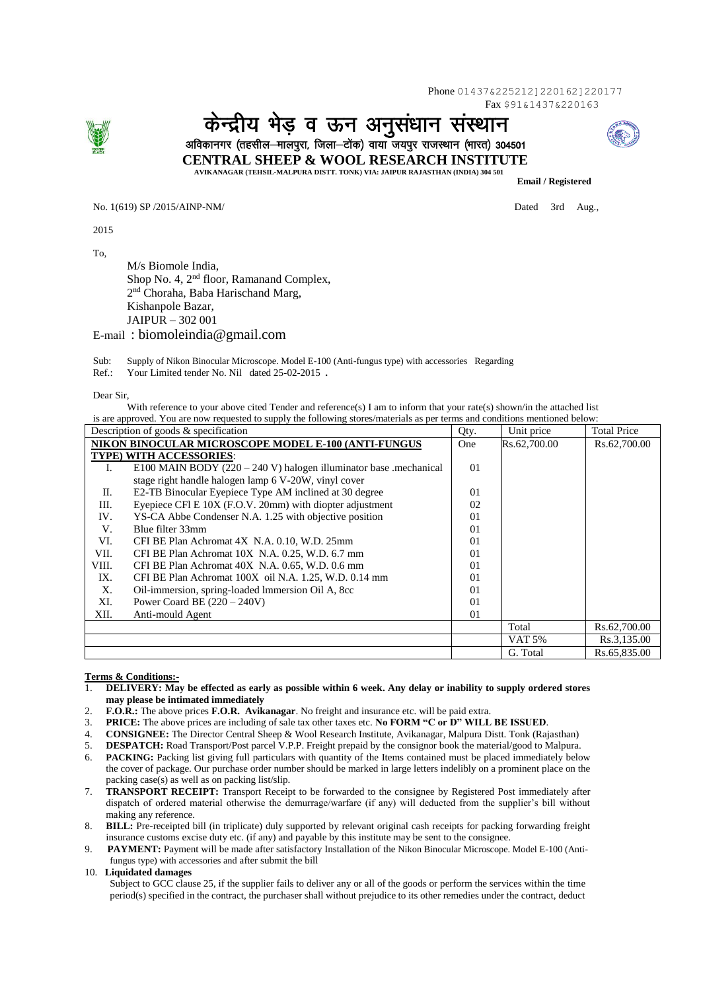Phone 01437&225212]220162]220177 Fax \$91&1437&220163



केन्द्रीय भेड व ऊन अनसंधान संस्थान अविकानगर (तहसील—मालपुरा, जिला—टोंक) वाया जयपुर राजस्थान (भारत) 304501



 **CENTRAL SHEEP & WOOL RESEARCH INSTITUTE**

 **AVIKANAGAR (TEHSIL-MALPURA DISTT. TONK) VIA: JAIPUR RAJASTHAN (INDIA) 304 501**

No. 1(619) SP /2015/AINP-NM/ Dated 3rd Aug.,

2015

To,

M/s Biomole India, Shop No. 4, 2<sup>nd</sup> floor, Ramanand Complex, 2<sup>nd</sup> Choraha, Baba Harischand Marg, Kishanpole Bazar, JAIPUR – 302 001

E-mail : biomoleindia@gmail.com

Sub: Supply of Nikon Binocular Microscope. Model E-100 (Anti-fungus type) with accessories Regarding

Ref.: Your Limited tender No. Nil dated 25-02-2015 **.**

Dear Sir,

With reference to your above cited Tender and reference(s) I am to inform that your rate(s) shown/in the attached list is are approved. You are now requested to supply the following stores/materials as per terms and conditions mentioned below:

| Description of goods $\&$ specification             |                                                                    | Qty.           | Unit price   | <b>Total Price</b> |
|-----------------------------------------------------|--------------------------------------------------------------------|----------------|--------------|--------------------|
| NIKON BINOCULAR MICROSCOPE MODEL E-100 (ANTI-FUNGUS |                                                                    | One            | Rs.62,700.00 | Rs.62,700.00       |
| TYPE) WITH ACCESSORIES:                             |                                                                    |                |              |                    |
| L.                                                  | E100 MAIN BODY $(220 – 240 V)$ halogen illuminator base mechanical | 0 <sub>1</sub> |              |                    |
|                                                     | stage right handle halogen lamp 6 V-20W, vinyl cover               |                |              |                    |
| П.                                                  | E2-TB Binocular Eyepiece Type AM inclined at 30 degree             | 0 <sub>1</sub> |              |                    |
| Ш.                                                  | Eyepiece CFI E 10X (F.O.V. 20mm) with diopter adjustment           | 02             |              |                    |
| IV.                                                 | YS-CA Abbe Condenser N.A. 1.25 with objective position             | 0 <sub>1</sub> |              |                    |
| V.                                                  | Blue filter 33mm                                                   | 0 <sub>1</sub> |              |                    |
| VI.                                                 | CFI BE Plan Achromat 4X N.A. 0.10, W.D. 25mm                       | 01             |              |                    |
| VII.                                                | CFI BE Plan Achromat 10X N.A. 0.25, W.D. 6.7 mm                    | $\Omega$       |              |                    |
| VIII.                                               | CFI BE Plan Achromat 40X N.A. 0.65, W.D. 0.6 mm                    | $\Omega$       |              |                    |
| IX.                                                 | CFI BE Plan Achromat 100X oil N.A. 1.25, W.D. 0.14 mm              | 0 <sub>1</sub> |              |                    |
| Х.                                                  | Oil-immersion, spring-loaded Immersion Oil A, 8cc                  | 0 <sub>1</sub> |              |                    |
| XI.                                                 | Power Coard BE $(220 – 240V)$                                      | 0 <sub>1</sub> |              |                    |
| XII.                                                | Anti-mould Agent                                                   | 0 <sub>1</sub> |              |                    |
|                                                     |                                                                    |                | Total        | Rs.62,700.00       |
|                                                     |                                                                    |                | VAT 5%       | Rs.3,135.00        |
|                                                     |                                                                    |                | G. Total     | Rs.65,835.00       |

## **Terms & Conditions:-**

- 1. **DELIVERY: May be effected as early as possible within 6 week. Any delay or inability to supply ordered stores may please be intimated immediately**
- 2. **F.O.R.:** The above prices **F.O.R. Avikanagar**. No freight and insurance etc. will be paid extra.

3. **PRICE:** The above prices are including of sale tax other taxes etc. **No FORM "C or D" WILL BE ISSUED**.

- 4. **CONSIGNEE:** The Director Central Sheep & Wool Research Institute, Avikanagar, Malpura Distt. Tonk (Rajasthan)
- 5. **DESPATCH:** Road Transport/Post parcel V.P.P. Freight prepaid by the consignor book the material/good to Malpura.
- 6. **PACKING:** Packing list giving full particulars with quantity of the Items contained must be placed immediately below the cover of package. Our purchase order number should be marked in large letters indelibly on a prominent place on the packing case(s) as well as on packing list/slip.
- 7. **TRANSPORT RECEIPT:** Transport Receipt to be forwarded to the consignee by Registered Post immediately after dispatch of ordered material otherwise the demurrage/warfare (if any) will deducted from the supplier's bill without making any reference.
- 8. **BILL:** Pre-receipted bill (in triplicate) duly supported by relevant original cash receipts for packing forwarding freight insurance customs excise duty etc. (if any) and payable by this institute may be sent to the consignee.
- 9. **PAYMENT:** Payment will be made after satisfactory Installation of the Nikon Binocular Microscope. Model E-100 (Antifungus type) with accessories and after submit the bill

## 10. **Liquidated damages**

 Subject to GCC clause 25, if the supplier fails to deliver any or all of the goods or perform the services within the time period(s) specified in the contract, the purchaser shall without prejudice to its other remedies under the contract, deduct



 **Email / Registered**